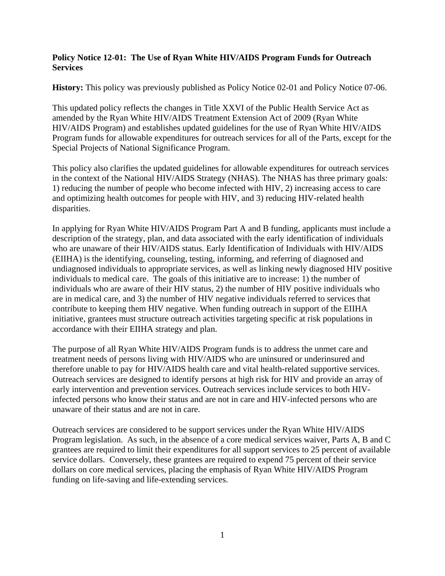#### **Policy Notice 12-01: The Use of Ryan White HIV/AIDS Program Funds for Outreach Services**

**History:** This policy was previously published as Policy Notice 02-01 and Policy Notice 07-06.

This updated policy reflects the changes in Title XXVI of the Public Health Service Act as amended by the Ryan White HIV/AIDS Treatment Extension Act of 2009 (Ryan White HIV/AIDS Program) and establishes updated guidelines for the use of Ryan White HIV/AIDS Program funds for allowable expenditures for outreach services for all of the Parts, except for the Special Projects of National Significance Program.

This policy also clarifies the updated guidelines for allowable expenditures for outreach services in the context of the National HIV/AIDS Strategy (NHAS). The NHAS has three primary goals: 1) reducing the number of people who become infected with HIV, 2) increasing access to care and optimizing health outcomes for people with HIV, and 3) reducing HIV-related health disparities.

In applying for Ryan White HIV/AIDS Program Part A and B funding, applicants must include a description of the strategy, plan, and data associated with the early identification of individuals who are unaware of their HIV/AIDS status. Early Identification of Individuals with HIV/AIDS (EIIHA) is the identifying, counseling, testing, informing, and referring of diagnosed and undiagnosed individuals to appropriate services, as well as linking newly diagnosed HIV positive individuals to medical care. The goals of this initiative are to increase: 1) the number of individuals who are aware of their HIV status, 2) the number of HIV positive individuals who are in medical care, and 3) the number of HIV negative individuals referred to services that contribute to keeping them HIV negative. When funding outreach in support of the EIIHA initiative, grantees must structure outreach activities targeting specific at risk populations in accordance with their EIIHA strategy and plan.

The purpose of all Ryan White HIV/AIDS Program funds is to address the unmet care and treatment needs of persons living with HIV/AIDS who are uninsured or underinsured and therefore unable to pay for HIV/AIDS health care and vital health-related supportive services. Outreach services are designed to identify persons at high risk for HIV and provide an array of early intervention and prevention services. Outreach services include services to both HIVinfected persons who know their status and are not in care and HIV-infected persons who are unaware of their status and are not in care.

Outreach services are considered to be support services under the Ryan White HIV/AIDS Program legislation. As such, in the absence of a core medical services waiver, Parts A, B and C grantees are required to limit their expenditures for all support services to 25 percent of available service dollars. Conversely, these grantees are required to expend 75 percent of their service dollars on core medical services, placing the emphasis of Ryan White HIV/AIDS Program funding on life-saving and life-extending services.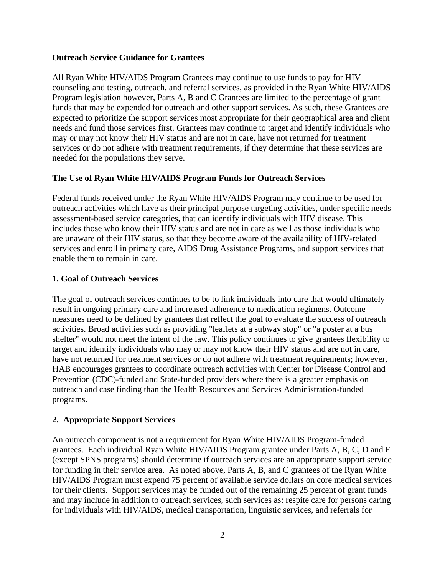#### **Outreach Service Guidance for Grantees**

All Ryan White HIV/AIDS Program Grantees may continue to use funds to pay for HIV counseling and testing, outreach, and referral services, as provided in the Ryan White HIV/AIDS Program legislation however, Parts A, B and C Grantees are limited to the percentage of grant funds that may be expended for outreach and other support services. As such, these Grantees are expected to prioritize the support services most appropriate for their geographical area and client needs and fund those services first. Grantees may continue to target and identify individuals who may or may not know their HIV status and are not in care, have not returned for treatment services or do not adhere with treatment requirements, if they determine that these services are needed for the populations they serve.

# **The Use of Ryan White HIV/AIDS Program Funds for Outreach Services**

Federal funds received under the Ryan White HIV/AIDS Program may continue to be used for outreach activities which have as their principal purpose targeting activities, under specific needs assessment-based service categories, that can identify individuals with HIV disease. This includes those who know their HIV status and are not in care as well as those individuals who are unaware of their HIV status, so that they become aware of the availability of HIV-related services and enroll in primary care, AIDS Drug Assistance Programs, and support services that enable them to remain in care.

# **1. Goal of Outreach Services**

The goal of outreach services continues to be to link individuals into care that would ultimately result in ongoing primary care and increased adherence to medication regimens. Outcome measures need to be defined by grantees that reflect the goal to evaluate the success of outreach activities. Broad activities such as providing "leaflets at a subway stop" or "a poster at a bus shelter" would not meet the intent of the law. This policy continues to give grantees flexibility to target and identify individuals who may or may not know their HIV status and are not in care, have not returned for treatment services or do not adhere with treatment requirements; however, HAB encourages grantees to coordinate outreach activities with Center for Disease Control and Prevention (CDC)-funded and State-funded providers where there is a greater emphasis on outreach and case finding than the Health Resources and Services Administration-funded programs.

# **2. Appropriate Support Services**

An outreach component is not a requirement for Ryan White HIV/AIDS Program-funded grantees. Each individual Ryan White HIV/AIDS Program grantee under Parts A, B, C, D and F (except SPNS programs) should determine if outreach services are an appropriate support service for funding in their service area. As noted above, Parts A, B, and C grantees of the Ryan White HIV/AIDS Program must expend 75 percent of available service dollars on core medical services for their clients. Support services may be funded out of the remaining 25 percent of grant funds and may include in addition to outreach services, such services as: respite care for persons caring for individuals with HIV/AIDS, medical transportation, linguistic services, and referrals for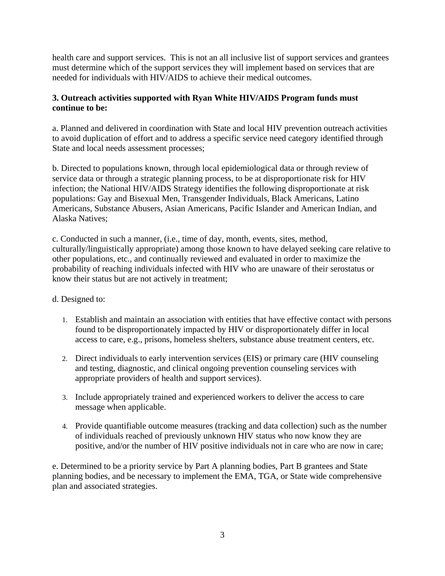health care and support services. This is not an all inclusive list of support services and grantees must determine which of the support services they will implement based on services that are needed for individuals with HIV/AIDS to achieve their medical outcomes.

# **3. Outreach activities supported with Ryan White HIV/AIDS Program funds must continue to be:**

a. Planned and delivered in coordination with State and local HIV prevention outreach activities to avoid duplication of effort and to address a specific service need category identified through State and local needs assessment processes;

b. Directed to populations known, through local epidemiological data or through review of service data or through a strategic planning process, to be at disproportionate risk for HIV infection; the National HIV/AIDS Strategy identifies the following disproportionate at risk populations: Gay and Bisexual Men, Transgender Individuals, Black Americans, Latino Americans, Substance Abusers, Asian Americans, Pacific Islander and American Indian, and Alaska Natives;

c. Conducted in such a manner, (i.e., time of day, month, events, sites, method, culturally/linguistically appropriate) among those known to have delayed seeking care relative to other populations, etc., and continually reviewed and evaluated in order to maximize the probability of reaching individuals infected with HIV who are unaware of their serostatus or know their status but are not actively in treatment;

# d. Designed to:

- 1. Establish and maintain an association with entities that have effective contact with persons found to be disproportionately impacted by HIV or disproportionately differ in local access to care, e.g., prisons, homeless shelters, substance abuse treatment centers, etc.
- 2. Direct individuals to early intervention services (EIS) or primary care (HIV counseling and testing, diagnostic, and clinical ongoing prevention counseling services with appropriate providers of health and support services).
- 3. Include appropriately trained and experienced workers to deliver the access to care message when applicable.
- 4. Provide quantifiable outcome measures (tracking and data collection) such as the number of individuals reached of previously unknown HIV status who now know they are positive, and/or the number of HIV positive individuals not in care who are now in care;

e. Determined to be a priority service by Part A planning bodies, Part B grantees and State planning bodies, and be necessary to implement the EMA, TGA, or State wide comprehensive plan and associated strategies.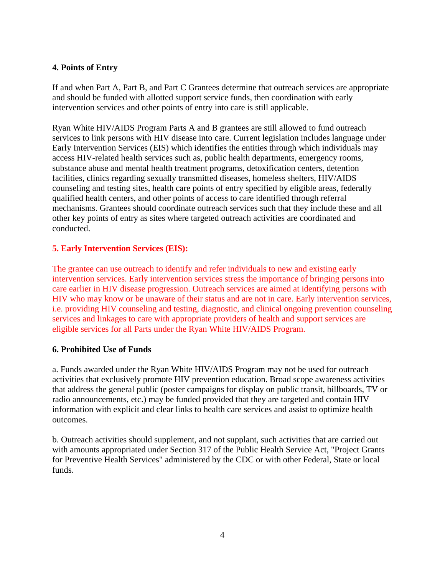# **4. Points of Entry**

If and when Part A, Part B, and Part C Grantees determine that outreach services are appropriate and should be funded with allotted support service funds, then coordination with early intervention services and other points of entry into care is still applicable.

Ryan White HIV/AIDS Program Parts A and B grantees are still allowed to fund outreach services to link persons with HIV disease into care. Current legislation includes language under Early Intervention Services (EIS) which identifies the entities through which individuals may access HIV-related health services such as, public health departments, emergency rooms, substance abuse and mental health treatment programs, detoxification centers, detention facilities, clinics regarding sexually transmitted diseases, homeless shelters, HIV/AIDS counseling and testing sites, health care points of entry specified by eligible areas, federally qualified health centers, and other points of access to care identified through referral mechanisms. Grantees should coordinate outreach services such that they include these and all other key points of entry as sites where targeted outreach activities are coordinated and conducted.

#### **5. Early Intervention Services (EIS):**

The grantee can use outreach to identify and refer individuals to new and existing early intervention services. Early intervention services stress the importance of bringing persons into care earlier in HIV disease progression. Outreach services are aimed at identifying persons with HIV who may know or be unaware of their status and are not in care. Early intervention services, i.e. providing HIV counseling and testing, diagnostic, and clinical ongoing prevention counseling services and linkages to care with appropriate providers of health and support services are eligible services for all Parts under the Ryan White HIV/AIDS Program.

#### **6. Prohibited Use of Funds**

a. Funds awarded under the Ryan White HIV/AIDS Program may not be used for outreach activities that exclusively promote HIV prevention education. Broad scope awareness activities that address the general public (poster campaigns for display on public transit, billboards, TV or radio announcements, etc.) may be funded provided that they are targeted and contain HIV information with explicit and clear links to health care services and assist to optimize health outcomes.

b. Outreach activities should supplement, and not supplant, such activities that are carried out with amounts appropriated under Section 317 of the Public Health Service Act, "Project Grants for Preventive Health Services" administered by the CDC or with other Federal, State or local funds.